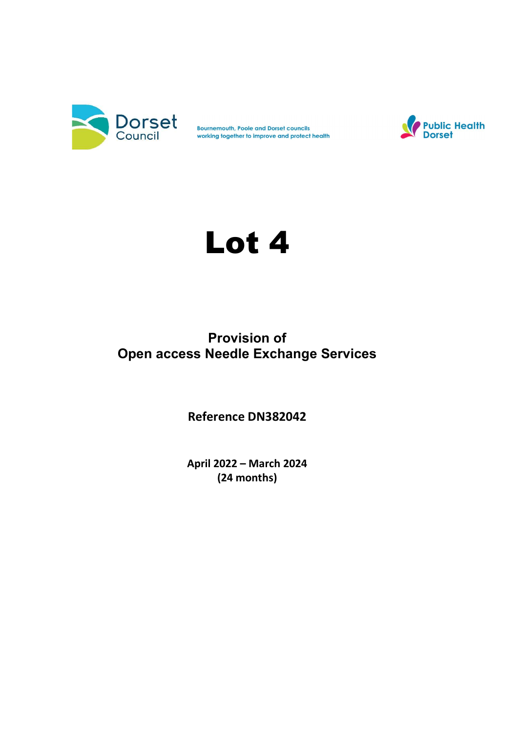

Bournemouth, Poole and Dorset councils<br>working together to improve and protect health



# Lot 4

## Provision of Open access Needle Exchange Services

Reference DN382042

April 2022 – March 2024 (24 months)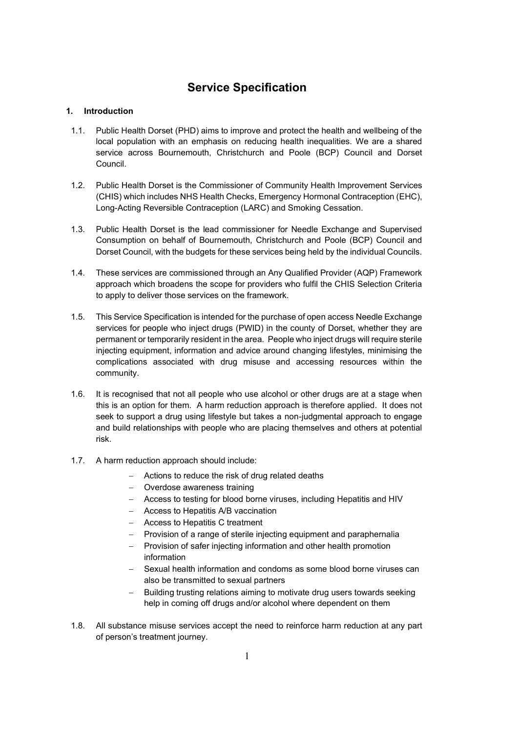## Service Specification

#### 1. Introduction

- 1.1. Public Health Dorset (PHD) aims to improve and protect the health and wellbeing of the local population with an emphasis on reducing health inequalities. We are a shared service across Bournemouth, Christchurch and Poole (BCP) Council and Dorset Council.
- 1.2. Public Health Dorset is the Commissioner of Community Health Improvement Services (CHIS) which includes NHS Health Checks, Emergency Hormonal Contraception (EHC), Long-Acting Reversible Contraception (LARC) and Smoking Cessation.
- 1.3. Public Health Dorset is the lead commissioner for Needle Exchange and Supervised Consumption on behalf of Bournemouth, Christchurch and Poole (BCP) Council and Dorset Council, with the budgets for these services being held by the individual Councils.
- 1.4. These services are commissioned through an Any Qualified Provider (AQP) Framework approach which broadens the scope for providers who fulfil the CHIS Selection Criteria to apply to deliver those services on the framework.
- 1.5. This Service Specification is intended for the purchase of open access Needle Exchange services for people who inject drugs (PWID) in the county of Dorset, whether they are permanent or temporarily resident in the area. People who inject drugs will require sterile injecting equipment, information and advice around changing lifestyles, minimising the complications associated with drug misuse and accessing resources within the community.
- 1.6. It is recognised that not all people who use alcohol or other drugs are at a stage when this is an option for them. A harm reduction approach is therefore applied. It does not seek to support a drug using lifestyle but takes a non-judgmental approach to engage and build relationships with people who are placing themselves and others at potential risk.
- 1.7. A harm reduction approach should include:
	- Actions to reduce the risk of drug related deaths
	- Overdose awareness training
	- Access to testing for blood borne viruses, including Hepatitis and HIV
	- Access to Hepatitis A/B vaccination
	- Access to Hepatitis C treatment
	- Provision of a range of sterile injecting equipment and paraphernalia
	- Provision of safer injecting information and other health promotion information
	- Sexual health information and condoms as some blood borne viruses can also be transmitted to sexual partners
	- Building trusting relations aiming to motivate drug users towards seeking help in coming off drugs and/or alcohol where dependent on them
- 1.8. All substance misuse services accept the need to reinforce harm reduction at any part of person's treatment journey.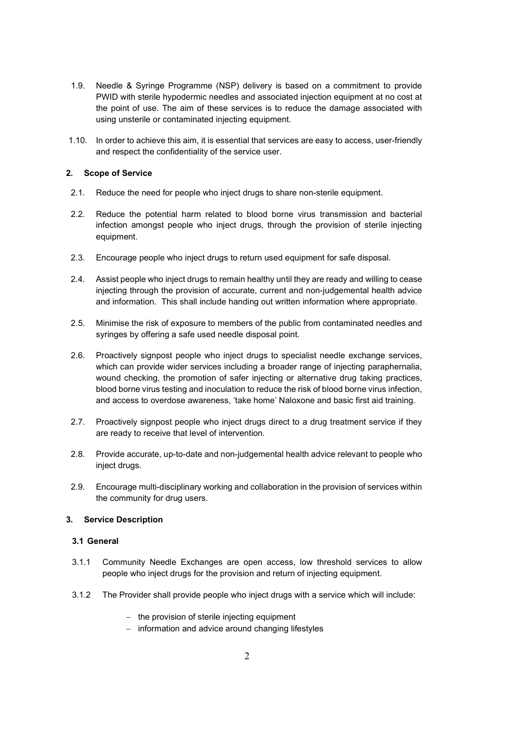- 1.9. Needle & Syringe Programme (NSP) delivery is based on a commitment to provide PWID with sterile hypodermic needles and associated injection equipment at no cost at the point of use. The aim of these services is to reduce the damage associated with using unsterile or contaminated injecting equipment.
- 1.10. In order to achieve this aim, it is essential that services are easy to access, user-friendly and respect the confidentiality of the service user.

#### 2. Scope of Service

- 2.1. Reduce the need for people who inject drugs to share non-sterile equipment.
- 2.2. Reduce the potential harm related to blood borne virus transmission and bacterial infection amongst people who inject drugs, through the provision of sterile injecting equipment.
- 2.3. Encourage people who inject drugs to return used equipment for safe disposal.
- 2.4. Assist people who inject drugs to remain healthy until they are ready and willing to cease injecting through the provision of accurate, current and non-judgemental health advice and information. This shall include handing out written information where appropriate.
- 2.5. Minimise the risk of exposure to members of the public from contaminated needles and syringes by offering a safe used needle disposal point.
- 2.6. Proactively signpost people who inject drugs to specialist needle exchange services, which can provide wider services including a broader range of injecting paraphernalia, wound checking, the promotion of safer injecting or alternative drug taking practices, blood borne virus testing and inoculation to reduce the risk of blood borne virus infection, and access to overdose awareness, 'take home' Naloxone and basic first aid training.
- 2.7. Proactively signpost people who inject drugs direct to a drug treatment service if they are ready to receive that level of intervention.
- 2.8. Provide accurate, up-to-date and non-judgemental health advice relevant to people who inject drugs.
- 2.9. Encourage multi-disciplinary working and collaboration in the provision of services within the community for drug users.

#### 3. Service Description

#### 3.1 General

- 3.1.1 Community Needle Exchanges are open access, low threshold services to allow people who inject drugs for the provision and return of injecting equipment.
- 3.1.2 The Provider shall provide people who inject drugs with a service which will include:
	- $-$  the provision of sterile injecting equipment
	- $-$  information and advice around changing lifestyles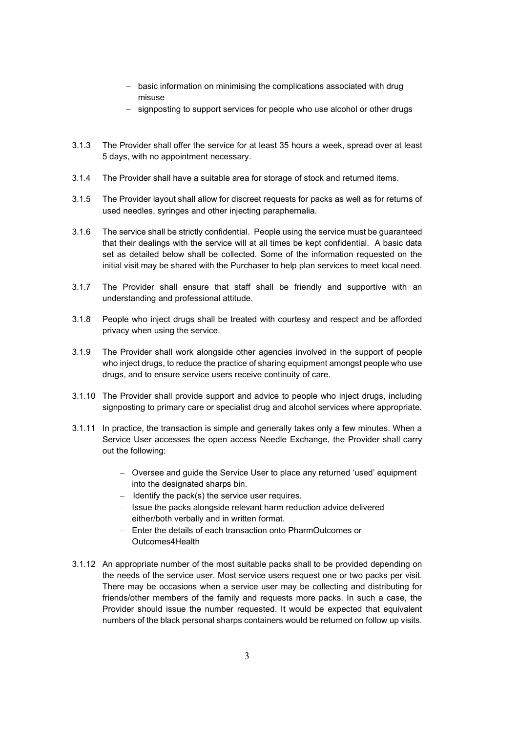- basic information on minimising the complications associated with drug misuse
- signposting to support services for people who use alcohol or other drugs
- 3.1.3 The Provider shall offer the service for at least 35 hours a week, spread over at least 5 days, with no appointment necessary.
- 3.1.4 The Provider shall have a suitable area for storage of stock and returned items.
- 3.1.5 The Provider layout shall allow for discreet requests for packs as well as for returns of used needles, syringes and other injecting paraphernalia.
- 3.1.6 The service shall be strictly confidential. People using the service must be guaranteed that their dealings with the service will at all times be kept confidential. A basic data set as detailed below shall be collected. Some of the information requested on the initial visit may be shared with the Purchaser to help plan services to meet local need.
- 3.1.7 The Provider shall ensure that staff shall be friendly and supportive with an understanding and professional attitude.
- 3.1.8 People who inject drugs shall be treated with courtesy and respect and be afforded privacy when using the service.
- 3.1.9 The Provider shall work alongside other agencies involved in the support of people who inject drugs, to reduce the practice of sharing equipment amongst people who use drugs, and to ensure service users receive continuity of care.
- 3.1.10 The Provider shall provide support and advice to people who inject drugs, including signposting to primary care or specialist drug and alcohol services where appropriate.
- 3.1.11 In practice, the transaction is simple and generally takes only a few minutes. When a Service User accesses the open access Needle Exchange, the Provider shall carry out the following:
	- Oversee and guide the Service User to place any returned 'used' equipment into the designated sharps bin.
	- $-$  Identify the pack(s) the service user requires.
	- Issue the packs alongside relevant harm reduction advice delivered either/both verbally and in written format.
	- $=$  Enter the details of each transaction onto PharmOutcomes or Outcomes4Health
- 3.1.12 An appropriate number of the most suitable packs shall to be provided depending on the needs of the service user. Most service users request one or two packs per visit. There may be occasions when a service user may be collecting and distributing for friends/other members of the family and requests more packs. In such a case, the Provider should issue the number requested. It would be expected that equivalent numbers of the black personal sharps containers would be returned on follow up visits.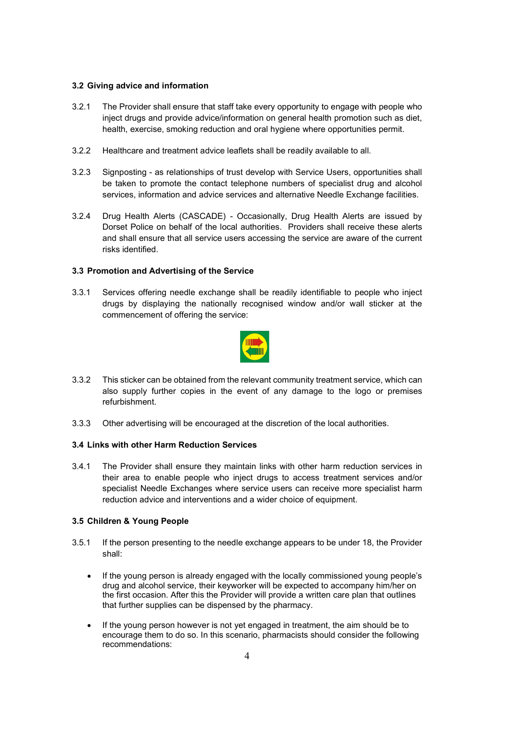#### 3.2 Giving advice and information

- 3.2.1 The Provider shall ensure that staff take every opportunity to engage with people who inject drugs and provide advice/information on general health promotion such as diet, health, exercise, smoking reduction and oral hygiene where opportunities permit.
- 3.2.2 Healthcare and treatment advice leaflets shall be readily available to all.
- 3.2.3 Signposting as relationships of trust develop with Service Users, opportunities shall be taken to promote the contact telephone numbers of specialist drug and alcohol services, information and advice services and alternative Needle Exchange facilities.
- 3.2.4 Drug Health Alerts (CASCADE) Occasionally, Drug Health Alerts are issued by Dorset Police on behalf of the local authorities. Providers shall receive these alerts and shall ensure that all service users accessing the service are aware of the current risks identified.

#### 3.3 Promotion and Advertising of the Service

3.3.1 Services offering needle exchange shall be readily identifiable to people who inject drugs by displaying the nationally recognised window and/or wall sticker at the commencement of offering the service:



- 3.3.2 This sticker can be obtained from the relevant community treatment service, which can also supply further copies in the event of any damage to the logo or premises refurbishment.
- 3.3.3 Other advertising will be encouraged at the discretion of the local authorities.

#### 3.4 Links with other Harm Reduction Services

3.4.1 The Provider shall ensure they maintain links with other harm reduction services in their area to enable people who inject drugs to access treatment services and/or specialist Needle Exchanges where service users can receive more specialist harm reduction advice and interventions and a wider choice of equipment.

#### 3.5 Children & Young People

- 3.5.1 If the person presenting to the needle exchange appears to be under 18, the Provider shall:
	- If the young person is already engaged with the locally commissioned young people's drug and alcohol service, their keyworker will be expected to accompany him/her on the first occasion. After this the Provider will provide a written care plan that outlines that further supplies can be dispensed by the pharmacy.
	- If the young person however is not yet engaged in treatment, the aim should be to encourage them to do so. In this scenario, pharmacists should consider the following recommendations: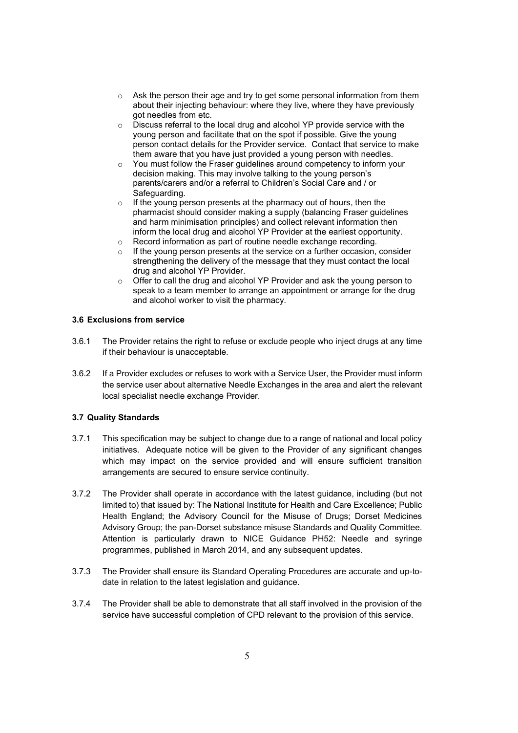- o Ask the person their age and try to get some personal information from them about their injecting behaviour: where they live, where they have previously got needles from etc.
- o Discuss referral to the local drug and alcohol YP provide service with the young person and facilitate that on the spot if possible. Give the young person contact details for the Provider service. Contact that service to make them aware that you have just provided a young person with needles.
- $\circ$  You must follow the Fraser guidelines around competency to inform your decision making. This may involve talking to the young person's parents/carers and/or a referral to Children's Social Care and / or Safeguarding.
- $\circ$  If the young person presents at the pharmacy out of hours, then the pharmacist should consider making a supply (balancing Fraser guidelines and harm minimisation principles) and collect relevant information then inform the local drug and alcohol YP Provider at the earliest opportunity.
- o Record information as part of routine needle exchange recording.
- o If the young person presents at the service on a further occasion, consider strengthening the delivery of the message that they must contact the local drug and alcohol YP Provider.
- o Offer to call the drug and alcohol YP Provider and ask the young person to speak to a team member to arrange an appointment or arrange for the drug and alcohol worker to visit the pharmacy.

#### 3.6 Exclusions from service

- 3.6.1 The Provider retains the right to refuse or exclude people who inject drugs at any time if their behaviour is unacceptable.
- 3.6.2 If a Provider excludes or refuses to work with a Service User, the Provider must inform the service user about alternative Needle Exchanges in the area and alert the relevant local specialist needle exchange Provider.

#### 3.7 Quality Standards

- 3.7.1 This specification may be subject to change due to a range of national and local policy initiatives. Adequate notice will be given to the Provider of any significant changes which may impact on the service provided and will ensure sufficient transition arrangements are secured to ensure service continuity.
- 3.7.2 The Provider shall operate in accordance with the latest guidance, including (but not limited to) that issued by: The National Institute for Health and Care Excellence; Public Health England; the Advisory Council for the Misuse of Drugs; Dorset Medicines Advisory Group; the pan-Dorset substance misuse Standards and Quality Committee. Attention is particularly drawn to NICE Guidance PH52: Needle and syringe programmes, published in March 2014, and any subsequent updates.
- 3.7.3 The Provider shall ensure its Standard Operating Procedures are accurate and up-todate in relation to the latest legislation and guidance.
- 3.7.4 The Provider shall be able to demonstrate that all staff involved in the provision of the service have successful completion of CPD relevant to the provision of this service.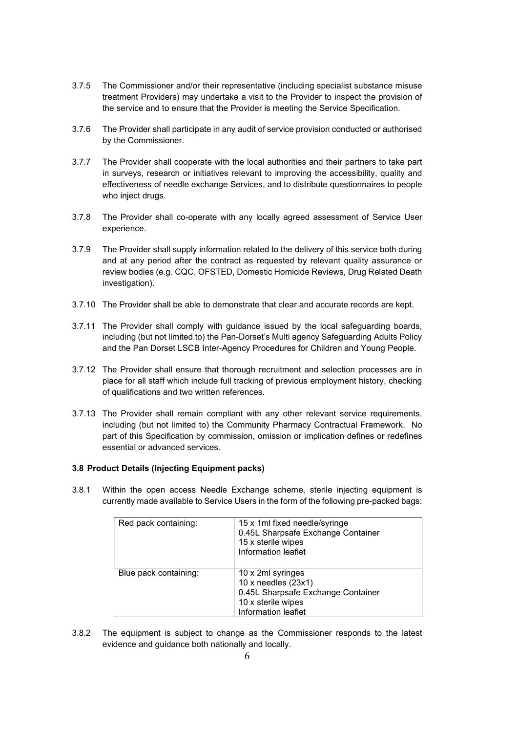- 3.7.5 The Commissioner and/or their representative (including specialist substance misuse treatment Providers) may undertake a visit to the Provider to inspect the provision of the service and to ensure that the Provider is meeting the Service Specification.
- 3.7.6 The Provider shall participate in any audit of service provision conducted or authorised by the Commissioner.
- 3.7.7 The Provider shall cooperate with the local authorities and their partners to take part in surveys, research or initiatives relevant to improving the accessibility, quality and effectiveness of needle exchange Services, and to distribute questionnaires to people who inject drugs.
- 3.7.8 The Provider shall co-operate with any locally agreed assessment of Service User experience.
- 3.7.9 The Provider shall supply information related to the delivery of this service both during and at any period after the contract as requested by relevant quality assurance or review bodies (e.g. CQC, OFSTED, Domestic Homicide Reviews, Drug Related Death investigation).
- 3.7.10 The Provider shall be able to demonstrate that clear and accurate records are kept.
- 3.7.11 The Provider shall comply with guidance issued by the local safeguarding boards, including (but not limited to) the Pan-Dorset's Multi agency Safeguarding Adults Policy and the Pan Dorset LSCB Inter-Agency Procedures for Children and Young People.
- 3.7.12 The Provider shall ensure that thorough recruitment and selection processes are in place for all staff which include full tracking of previous employment history, checking of qualifications and two written references.
- 3.7.13 The Provider shall remain compliant with any other relevant service requirements, including (but not limited to) the Community Pharmacy Contractual Framework. No part of this Specification by commission, omission or implication defines or redefines essential or advanced services.

#### 3.8 Product Details (Injecting Equipment packs)

3.8.1 Within the open access Needle Exchange scheme, sterile injecting equipment is currently made available to Service Users in the form of the following pre-packed bags:

| Red pack containing:  | 15 x 1ml fixed needle/syringe<br>0.45L Sharpsafe Exchange Container<br>15 x sterile wipes<br>Information leaflet              |
|-----------------------|-------------------------------------------------------------------------------------------------------------------------------|
| Blue pack containing: | 10 x 2ml syringes<br>10 x needles $(23x1)$<br>0.45L Sharpsafe Exchange Container<br>10 x sterile wipes<br>Information leaflet |

3.8.2 The equipment is subject to change as the Commissioner responds to the latest evidence and guidance both nationally and locally.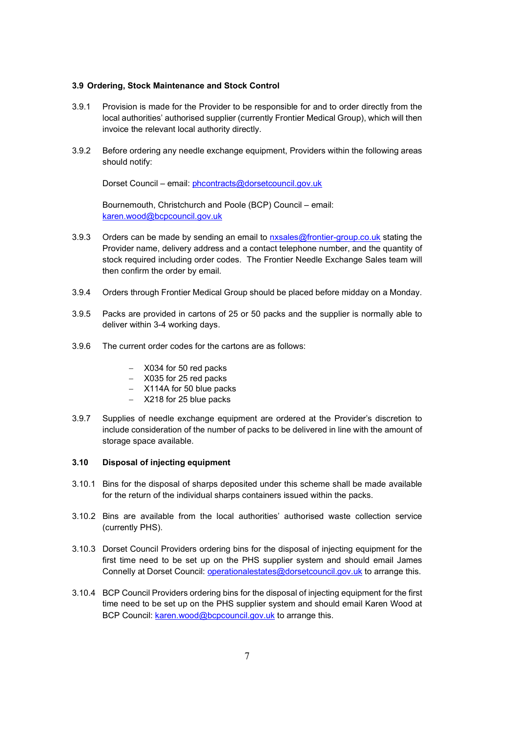#### 3.9 Ordering, Stock Maintenance and Stock Control

- 3.9.1 Provision is made for the Provider to be responsible for and to order directly from the local authorities' authorised supplier (currently Frontier Medical Group), which will then invoice the relevant local authority directly.
- 3.9.2 Before ordering any needle exchange equipment, Providers within the following areas should notify:

Dorset Council – email: phcontracts@dorsetcouncil.gov.uk

Bournemouth, Christchurch and Poole (BCP) Council – email: karen.wood@bcpcouncil.gov.uk

- 3.9.3 Orders can be made by sending an email to nxsales@frontier-group.co.uk stating the Provider name, delivery address and a contact telephone number, and the quantity of stock required including order codes. The Frontier Needle Exchange Sales team will then confirm the order by email.
- 3.9.4 Orders through Frontier Medical Group should be placed before midday on a Monday.
- 3.9.5 Packs are provided in cartons of 25 or 50 packs and the supplier is normally able to deliver within 3-4 working days.
- 3.9.6 The current order codes for the cartons are as follows:
	- X034 for 50 red packs
	- X035 for 25 red packs
	- X114A for 50 blue packs
	- X218 for 25 blue packs
- 3.9.7 Supplies of needle exchange equipment are ordered at the Provider's discretion to include consideration of the number of packs to be delivered in line with the amount of storage space available.

#### 3.10 Disposal of injecting equipment

- 3.10.1 Bins for the disposal of sharps deposited under this scheme shall be made available for the return of the individual sharps containers issued within the packs.
- 3.10.2 Bins are available from the local authorities' authorised waste collection service (currently PHS).
- 3.10.3 Dorset Council Providers ordering bins for the disposal of injecting equipment for the first time need to be set up on the PHS supplier system and should email James Connelly at Dorset Council: operationalestates@dorsetcouncil.gov.uk to arrange this.
- 3.10.4 BCP Council Providers ordering bins for the disposal of injecting equipment for the first time need to be set up on the PHS supplier system and should email Karen Wood at BCP Council: karen.wood@bcpcouncil.gov.uk to arrange this.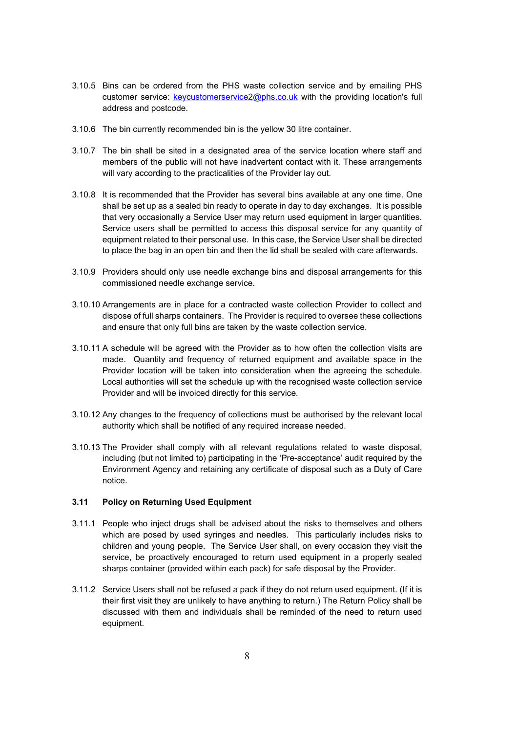- 3.10.5 Bins can be ordered from the PHS waste collection service and by emailing PHS customer service: keycustomerservice2@phs.co.uk with the providing location's full address and postcode.
- 3.10.6 The bin currently recommended bin is the yellow 30 litre container.
- 3.10.7 The bin shall be sited in a designated area of the service location where staff and members of the public will not have inadvertent contact with it. These arrangements will vary according to the practicalities of the Provider lay out.
- 3.10.8 It is recommended that the Provider has several bins available at any one time. One shall be set up as a sealed bin ready to operate in day to day exchanges. It is possible that very occasionally a Service User may return used equipment in larger quantities. Service users shall be permitted to access this disposal service for any quantity of equipment related to their personal use. In this case, the Service User shall be directed to place the bag in an open bin and then the lid shall be sealed with care afterwards.
- 3.10.9 Providers should only use needle exchange bins and disposal arrangements for this commissioned needle exchange service.
- 3.10.10 Arrangements are in place for a contracted waste collection Provider to collect and dispose of full sharps containers. The Provider is required to oversee these collections and ensure that only full bins are taken by the waste collection service.
- 3.10.11 A schedule will be agreed with the Provider as to how often the collection visits are made. Quantity and frequency of returned equipment and available space in the Provider location will be taken into consideration when the agreeing the schedule. Local authorities will set the schedule up with the recognised waste collection service Provider and will be invoiced directly for this service.
- 3.10.12 Any changes to the frequency of collections must be authorised by the relevant local authority which shall be notified of any required increase needed.
- 3.10.13 The Provider shall comply with all relevant regulations related to waste disposal, including (but not limited to) participating in the 'Pre-acceptance' audit required by the Environment Agency and retaining any certificate of disposal such as a Duty of Care notice.

#### 3.11 Policy on Returning Used Equipment

- 3.11.1 People who inject drugs shall be advised about the risks to themselves and others which are posed by used syringes and needles. This particularly includes risks to children and young people. The Service User shall, on every occasion they visit the service, be proactively encouraged to return used equipment in a properly sealed sharps container (provided within each pack) for safe disposal by the Provider.
- 3.11.2 Service Users shall not be refused a pack if they do not return used equipment. (If it is their first visit they are unlikely to have anything to return.) The Return Policy shall be discussed with them and individuals shall be reminded of the need to return used equipment.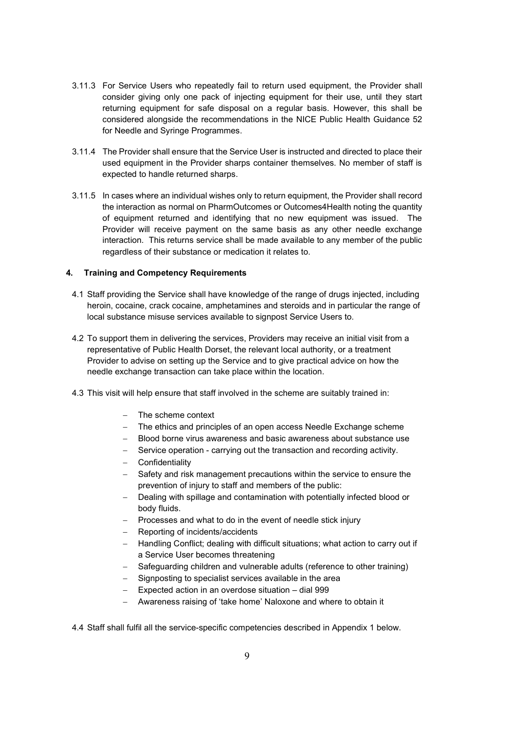- 3.11.3 For Service Users who repeatedly fail to return used equipment, the Provider shall consider giving only one pack of injecting equipment for their use, until they start returning equipment for safe disposal on a regular basis. However, this shall be considered alongside the recommendations in the NICE Public Health Guidance 52 for Needle and Syringe Programmes.
- 3.11.4 The Provider shall ensure that the Service User is instructed and directed to place their used equipment in the Provider sharps container themselves. No member of staff is expected to handle returned sharps.
- 3.11.5 In cases where an individual wishes only to return equipment, the Provider shall record the interaction as normal on PharmOutcomes or Outcomes4Health noting the quantity of equipment returned and identifying that no new equipment was issued. The Provider will receive payment on the same basis as any other needle exchange interaction. This returns service shall be made available to any member of the public regardless of their substance or medication it relates to.

#### 4. Training and Competency Requirements

- 4.1 Staff providing the Service shall have knowledge of the range of drugs injected, including heroin, cocaine, crack cocaine, amphetamines and steroids and in particular the range of local substance misuse services available to signpost Service Users to.
- 4.2 To support them in delivering the services, Providers may receive an initial visit from a representative of Public Health Dorset, the relevant local authority, or a treatment Provider to advise on setting up the Service and to give practical advice on how the needle exchange transaction can take place within the location.
- 4.3 This visit will help ensure that staff involved in the scheme are suitably trained in:
	- The scheme context
	- The ethics and principles of an open access Needle Exchange scheme
	- Blood borne virus awareness and basic awareness about substance use
	- Service operation carrying out the transaction and recording activity.
	- Confidentiality
	- Safety and risk management precautions within the service to ensure the prevention of injury to staff and members of the public:
	- Dealing with spillage and contamination with potentially infected blood or body fluids.
	- Processes and what to do in the event of needle stick injury
	- Reporting of incidents/accidents
	- Handling Conflict; dealing with difficult situations; what action to carry out if a Service User becomes threatening
	- Safeguarding children and vulnerable adults (reference to other training)
	- Signposting to specialist services available in the area
	- Expected action in an overdose situation dial 999
	- Awareness raising of 'take home' Naloxone and where to obtain it

4.4 Staff shall fulfil all the service-specific competencies described in Appendix 1 below.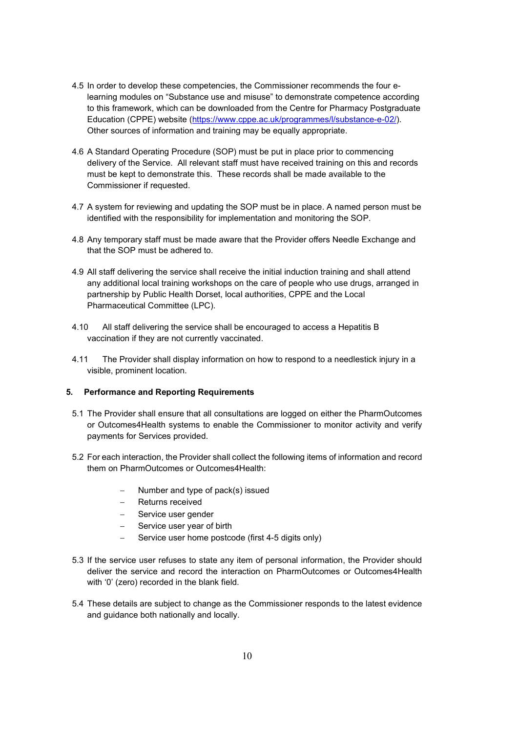- 4.5 In order to develop these competencies, the Commissioner recommends the four elearning modules on "Substance use and misuse" to demonstrate competence according to this framework, which can be downloaded from the Centre for Pharmacy Postgraduate Education (CPPE) website (https://www.cppe.ac.uk/programmes/l/substance-e-02/). Other sources of information and training may be equally appropriate.
- 4.6 A Standard Operating Procedure (SOP) must be put in place prior to commencing delivery of the Service. All relevant staff must have received training on this and records must be kept to demonstrate this. These records shall be made available to the Commissioner if requested.
- 4.7 A system for reviewing and updating the SOP must be in place. A named person must be identified with the responsibility for implementation and monitoring the SOP.
- 4.8 Any temporary staff must be made aware that the Provider offers Needle Exchange and that the SOP must be adhered to.
- 4.9 All staff delivering the service shall receive the initial induction training and shall attend any additional local training workshops on the care of people who use drugs, arranged in partnership by Public Health Dorset, local authorities, CPPE and the Local Pharmaceutical Committee (LPC).
- 4.10 All staff delivering the service shall be encouraged to access a Hepatitis B vaccination if they are not currently vaccinated.
- 4.11 The Provider shall display information on how to respond to a needlestick injury in a visible, prominent location.

#### 5. Performance and Reporting Requirements

- 5.1 The Provider shall ensure that all consultations are logged on either the PharmOutcomes or Outcomes4Health systems to enable the Commissioner to monitor activity and verify payments for Services provided.
- 5.2 For each interaction, the Provider shall collect the following items of information and record them on PharmOutcomes or Outcomes4Health:
	- Number and type of pack(s) issued
	- Returns received
	- Service user gender
	- $-$  Service user year of birth
	- Service user home postcode (first 4-5 digits only)
- 5.3 If the service user refuses to state any item of personal information, the Provider should deliver the service and record the interaction on PharmOutcomes or Outcomes4Health with '0' (zero) recorded in the blank field.
- 5.4 These details are subject to change as the Commissioner responds to the latest evidence and guidance both nationally and locally.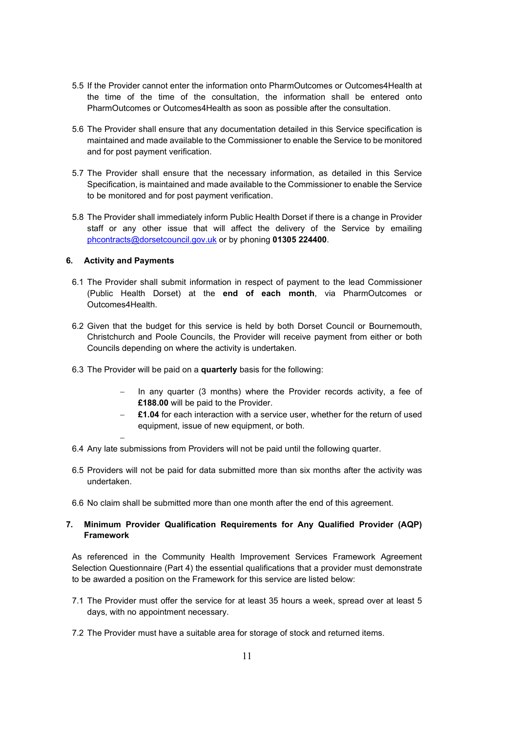- 5.5 If the Provider cannot enter the information onto PharmOutcomes or Outcomes4Health at the time of the time of the consultation, the information shall be entered onto PharmOutcomes or Outcomes4Health as soon as possible after the consultation.
- 5.6 The Provider shall ensure that any documentation detailed in this Service specification is maintained and made available to the Commissioner to enable the Service to be monitored and for post payment verification.
- 5.7 The Provider shall ensure that the necessary information, as detailed in this Service Specification, is maintained and made available to the Commissioner to enable the Service to be monitored and for post payment verification.
- 5.8 The Provider shall immediately inform Public Health Dorset if there is a change in Provider staff or any other issue that will affect the delivery of the Service by emailing phcontracts@dorsetcouncil.gov.uk or by phoning 01305 224400.

#### 6. Activity and Payments

 $\overline{\phantom{0}}$ 

- 6.1 The Provider shall submit information in respect of payment to the lead Commissioner (Public Health Dorset) at the end of each month, via PharmOutcomes or Outcomes4Health.
- 6.2 Given that the budget for this service is held by both Dorset Council or Bournemouth, Christchurch and Poole Councils, the Provider will receive payment from either or both Councils depending on where the activity is undertaken.
- 6.3 The Provider will be paid on a quarterly basis for the following:
	- In any quarter (3 months) where the Provider records activity, a fee of £188.00 will be paid to the Provider.
	- £1.04 for each interaction with a service user, whether for the return of used equipment, issue of new equipment, or both.
- 6.4 Any late submissions from Providers will not be paid until the following quarter.
- 6.5 Providers will not be paid for data submitted more than six months after the activity was undertaken.
- 6.6 No claim shall be submitted more than one month after the end of this agreement.

#### 7. Minimum Provider Qualification Requirements for Any Qualified Provider (AQP) Framework

As referenced in the Community Health Improvement Services Framework Agreement Selection Questionnaire (Part 4) the essential qualifications that a provider must demonstrate to be awarded a position on the Framework for this service are listed below:

- 7.1 The Provider must offer the service for at least 35 hours a week, spread over at least 5 days, with no appointment necessary.
- 7.2 The Provider must have a suitable area for storage of stock and returned items.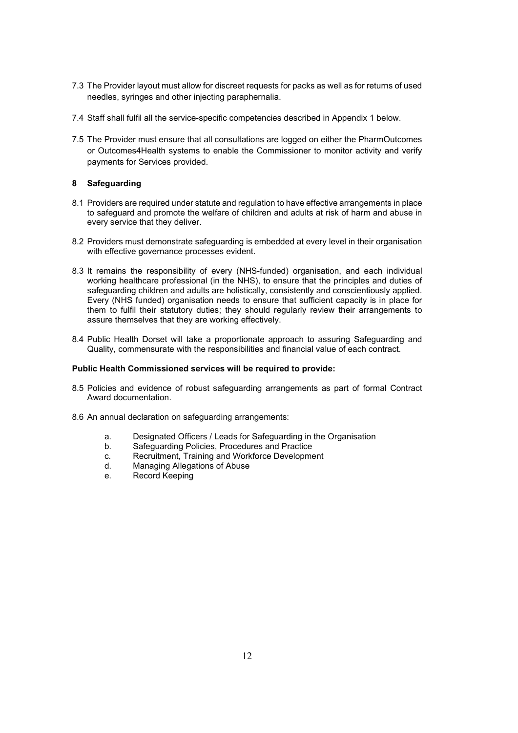- 7.3 The Provider layout must allow for discreet requests for packs as well as for returns of used needles, syringes and other injecting paraphernalia.
- 7.4 Staff shall fulfil all the service-specific competencies described in Appendix 1 below.
- 7.5 The Provider must ensure that all consultations are logged on either the PharmOutcomes or Outcomes4Health systems to enable the Commissioner to monitor activity and verify payments for Services provided.

#### 8 Safeguarding

- 8.1 Providers are required under statute and regulation to have effective arrangements in place to safeguard and promote the welfare of children and adults at risk of harm and abuse in every service that they deliver.
- 8.2 Providers must demonstrate safeguarding is embedded at every level in their organisation with effective governance processes evident.
- 8.3 It remains the responsibility of every (NHS-funded) organisation, and each individual working healthcare professional (in the NHS), to ensure that the principles and duties of safeguarding children and adults are holistically, consistently and conscientiously applied. Every (NHS funded) organisation needs to ensure that sufficient capacity is in place for them to fulfil their statutory duties; they should regularly review their arrangements to assure themselves that they are working effectively.
- 8.4 Public Health Dorset will take a proportionate approach to assuring Safeguarding and Quality, commensurate with the responsibilities and financial value of each contract.

#### Public Health Commissioned services will be required to provide:

- 8.5 Policies and evidence of robust safeguarding arrangements as part of formal Contract Award documentation.
- 8.6 An annual declaration on safeguarding arrangements:
	- a. Designated Officers / Leads for Safeguarding in the Organisation
	- b. Safeguarding Policies, Procedures and Practice
	- c. Recruitment, Training and Workforce Development
	- d. Managing Allegations of Abuse
	- e. Record Keeping